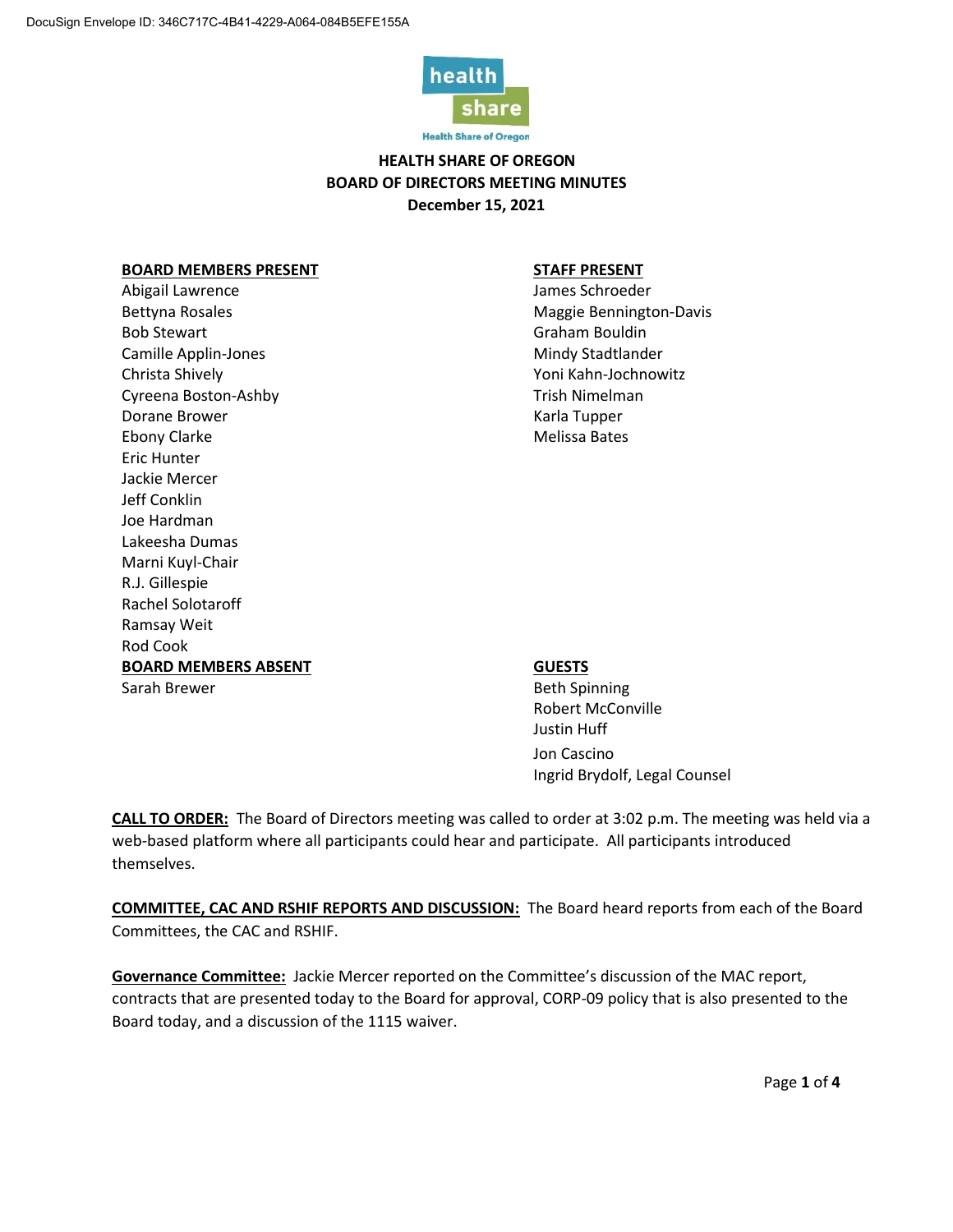

**Health Share of Oregon** 

# **HEALTH SHARE OF OREGON BOARD OF DIRECTORS MEETING MINUTES December 15, 2021**

### **BOARD MEMBERS PRESENT STAFF PRESENT**

Abigail Lawrence and Lawrence and Lawrence and Lawrence and Lames Schroeder Bettyna Rosales Maggie Bennington-Davis Bob Stewart **Graham Bouldin** Camille Applin-Jones and the Camille Applin-Jones and the Camille Applies Mindy Stadtlander Christa Shively **Xamps** Christa Shively **Xamps** 2001 **Yoni Kahn-Jochnowitz** Cyreena Boston-Ashby Trish Nimelman Dorane Brower National Contract Contract Contract Contract Contract Contract Contract Contract Contract Contract Contract Contract Contract Contract Contract Contract Contract Contract Contract Contract Contract Contract C Ebony Clarke Melissa Bates Eric Hunter Jackie Mercer Jeff Conklin Joe Hardman Lakeesha Dumas Marni Kuyl-Chair R.J. Gillespie Rachel Solotaroff Ramsay Weit Rod Cook **BOARD MEMBERS ABSENT GUESTS** Sarah Brewer Beth Spinning

Robert McConville Justin Huff Jon Cascino Ingrid Brydolf, Legal Counsel

**CALL TO ORDER:** The Board of Directors meeting was called to order at 3:02 p.m. The meeting was held via a web-based platform where all participants could hear and participate. All participants introduced themselves.

**COMMITTEE, CAC AND RSHIF REPORTS AND DISCUSSION:** The Board heard reports from each of the Board Committees, the CAC and RSHIF.

**Governance Committee:** Jackie Mercer reported on the Committee's discussion of the MAC report, contracts that are presented today to the Board for approval, CORP-09 policy that is also presented to the Board today, and a discussion of the 1115 waiver.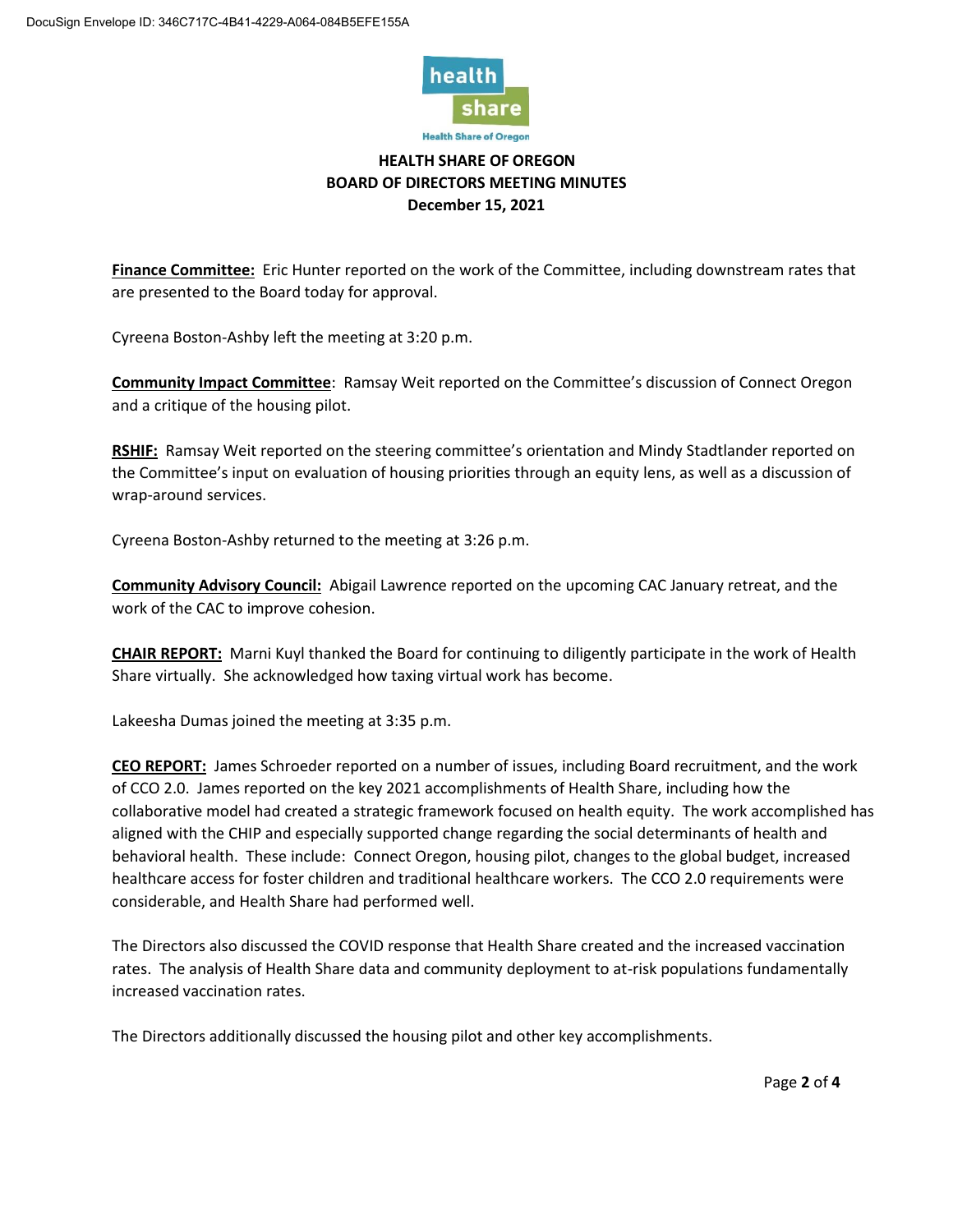

# **HEALTH SHARE OF OREGON BOARD OF DIRECTORS MEETING MINUTES December 15, 2021**

**Finance Committee:** Eric Hunter reported on the work of the Committee, including downstream rates that are presented to the Board today for approval.

Cyreena Boston-Ashby left the meeting at 3:20 p.m.

**Community Impact Committee**: Ramsay Weit reported on the Committee's discussion of Connect Oregon and a critique of the housing pilot.

**RSHIF:** Ramsay Weit reported on the steering committee's orientation and Mindy Stadtlander reported on the Committee's input on evaluation of housing priorities through an equity lens, as well as a discussion of wrap-around services.

Cyreena Boston-Ashby returned to the meeting at 3:26 p.m.

**Community Advisory Council:** Abigail Lawrence reported on the upcoming CAC January retreat, and the work of the CAC to improve cohesion.

**CHAIR REPORT:** Marni Kuyl thanked the Board for continuing to diligently participate in the work of Health Share virtually. She acknowledged how taxing virtual work has become.

Lakeesha Dumas joined the meeting at 3:35 p.m.

**CEO REPORT:** James Schroeder reported on a number of issues, including Board recruitment, and the work of CCO 2.0. James reported on the key 2021 accomplishments of Health Share, including how the collaborative model had created a strategic framework focused on health equity. The work accomplished has aligned with the CHIP and especially supported change regarding the social determinants of health and behavioral health. These include: Connect Oregon, housing pilot, changes to the global budget, increased healthcare access for foster children and traditional healthcare workers. The CCO 2.0 requirements were considerable, and Health Share had performed well.

The Directors also discussed the COVID response that Health Share created and the increased vaccination rates. The analysis of Health Share data and community deployment to at-risk populations fundamentally increased vaccination rates.

The Directors additionally discussed the housing pilot and other key accomplishments.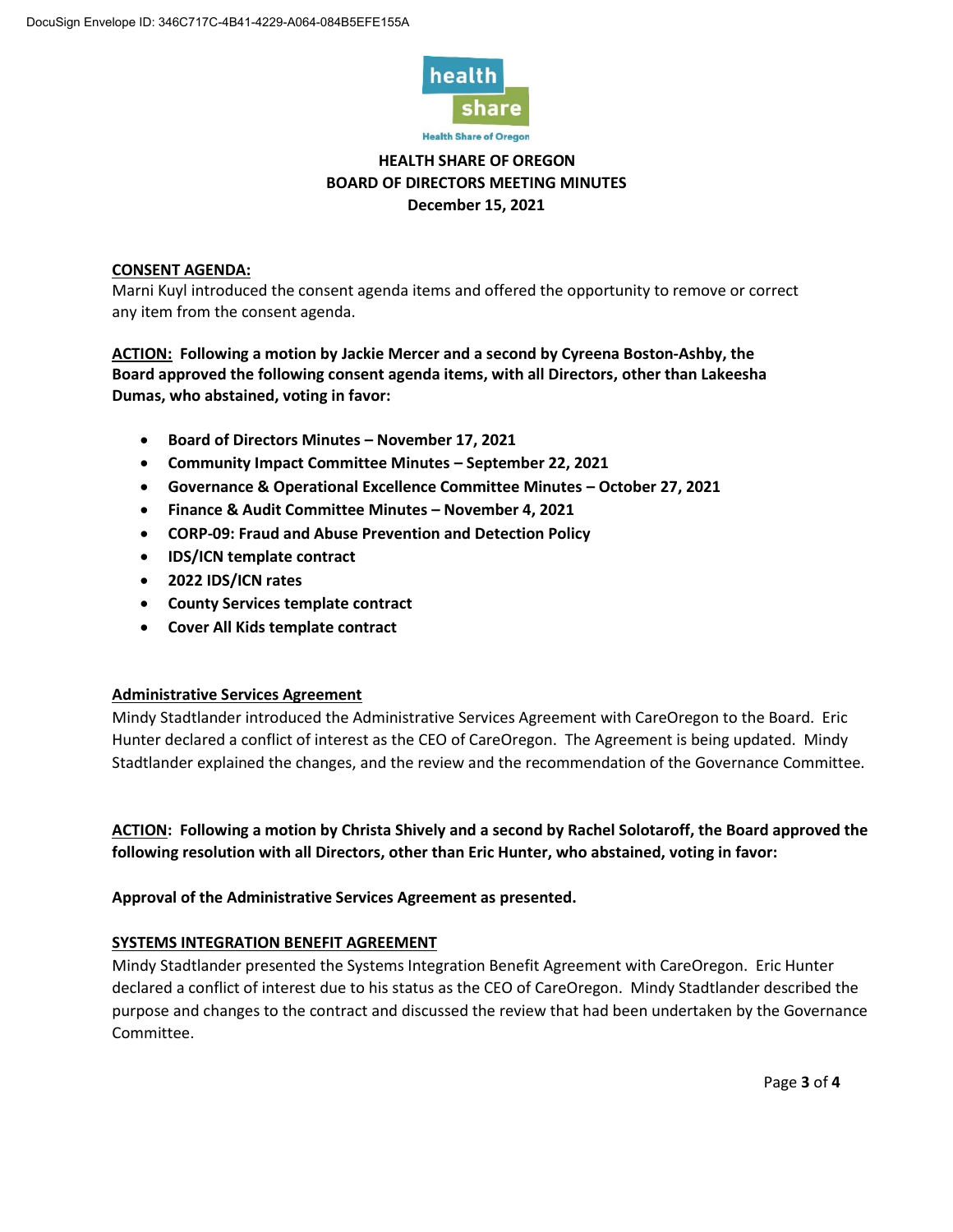

**Health Share of Oregon** 

# **HEALTH SHARE OF OREGON BOARD OF DIRECTORS MEETING MINUTES December 15, 2021**

## **CONSENT AGENDA:**

Marni Kuyl introduced the consent agenda items and offered the opportunity to remove or correct any item from the consent agenda.

**ACTION: Following a motion by Jackie Mercer and a second by Cyreena Boston-Ashby, the Board approved the following consent agenda items, with all Directors, other than Lakeesha Dumas, who abstained, voting in favor:** 

- **Board of Directors Minutes – November 17, 2021**
- **Community Impact Committee Minutes – September 22, 2021**
- **Governance & Operational Excellence Committee Minutes – October 27, 2021**
- **Finance & Audit Committee Minutes – November 4, 2021**
- **CORP-09: Fraud and Abuse Prevention and Detection Policy**
- **IDS/ICN template contract**
- **2022 IDS/ICN rates**
- **County Services template contract**
- **Cover All Kids template contract**

## **Administrative Services Agreement**

Mindy Stadtlander introduced the Administrative Services Agreement with CareOregon to the Board. Eric Hunter declared a conflict of interest as the CEO of CareOregon. The Agreement is being updated. Mindy Stadtlander explained the changes, and the review and the recommendation of the Governance Committee.

**ACTION: Following a motion by Christa Shively and a second by Rachel Solotaroff, the Board approved the following resolution with all Directors, other than Eric Hunter, who abstained, voting in favor:**

**Approval of the Administrative Services Agreement as presented.**

## **SYSTEMS INTEGRATION BENEFIT AGREEMENT**

Mindy Stadtlander presented the Systems Integration Benefit Agreement with CareOregon. Eric Hunter declared a conflict of interest due to his status as the CEO of CareOregon. Mindy Stadtlander described the purpose and changes to the contract and discussed the review that had been undertaken by the Governance Committee.